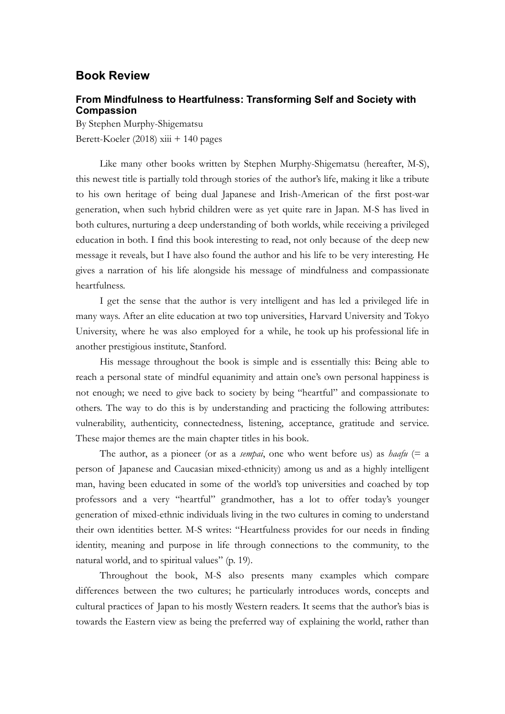## **Book Review**

## **From Mindfulness to Heartfulness: Transforming Self and Society with Compassion**

By Stephen Murphy-Shigematsu Berett-Koeler (2018)  $xiii + 140$  pages

Like many other books written by Stephen Murphy-Shigematsu (hereafter, M-S), this newest title is partially told through stories of the author's life, making it like a tribute to his own heritage of being dual Japanese and Irish-American of the first post-war generation, when such hybrid children were as yet quite rare in Japan. M-S has lived in both cultures, nurturing a deep understanding of both worlds, while receiving a privileged education in both. I find this book interesting to read, not only because of the deep new message it reveals, but I have also found the author and his life to be very interesting. He gives a narration of his life alongside his message of mindfulness and compassionate heartfulness.

I get the sense that the author is very intelligent and has led a privileged life in many ways. After an elite education at two top universities, Harvard University and Tokyo University, where he was also employed for a while, he took up his professional life in another prestigious institute, Stanford.

His message throughout the book is simple and is essentially this: Being able to reach a personal state of mindful equanimity and attain one's own personal happiness is not enough; we need to give back to society by being "heartful" and compassionate to others. The way to do this is by understanding and practicing the following attributes: vulnerability, authenticity, connectedness, listening, acceptance, gratitude and service. These major themes are the main chapter titles in his book.

The author, as a pioneer (or as a *sempai*, one who went before us) as *haafu* (= a person of Japanese and Caucasian mixed-ethnicity) among us and as a highly intelligent man, having been educated in some of the world's top universities and coached by top professors and a very "heartful" grandmother, has a lot to offer today's younger generation of mixed-ethnic individuals living in the two cultures in coming to understand their own identities better. M-S writes: "Heartfulness provides for our needs in finding identity, meaning and purpose in life through connections to the community, to the natural world, and to spiritual values" (p. 19).

Throughout the book, M-S also presents many examples which compare differences between the two cultures; he particularly introduces words, concepts and cultural practices of Japan to his mostly Western readers. It seems that the author's bias is towards the Eastern view as being the preferred way of explaining the world, rather than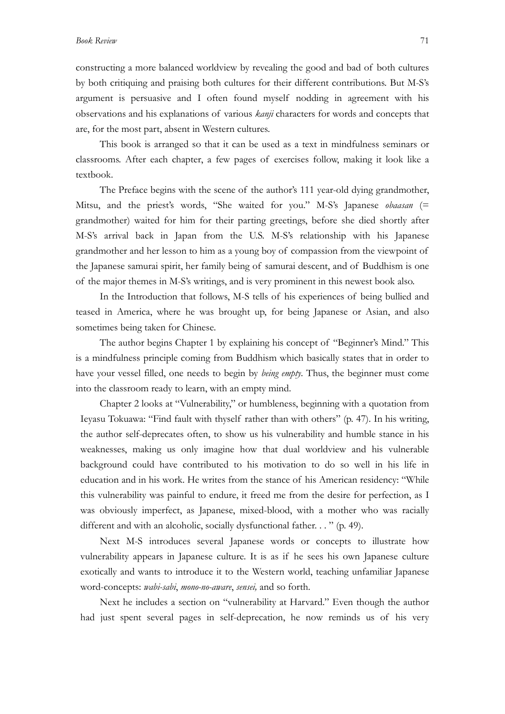constructing a more balanced worldview by revealing the good and bad of both cultures by both critiquing and praising both cultures for their different contributions. But M-S's argument is persuasive and I often found myself nodding in agreement with his observations and his explanations of various *kanji* characters for words and concepts that are, for the most part, absent in Western cultures.

This book is arranged so that it can be used as a text in mindfulness seminars or classrooms. After each chapter, a few pages of exercises follow, making it look like a textbook.

The Preface begins with the scene of the author's 111 year-old dying grandmother, Mitsu, and the priest's words, "She waited for you." M-S's Japanese *obaasan* (= grandmother) waited for him for their parting greetings, before she died shortly after M-S's arrival back in Japan from the U.S. M-S's relationship with his Japanese grandmother and her lesson to him as a young boy of compassion from the viewpoint of the Japanese samurai spirit, her family being of samurai descent, and of Buddhism is one of the major themes in M-S's writings, and is very prominent in this newest book also.

In the Introduction that follows, M-S tells of his experiences of being bullied and teased in America, where he was brought up, for being Japanese or Asian, and also sometimes being taken for Chinese.

The author begins Chapter 1 by explaining his concept of "Beginner's Mind." This is a mindfulness principle coming from Buddhism which basically states that in order to have your vessel filled, one needs to begin by *being empty*. Thus, the beginner must come into the classroom ready to learn, with an empty mind.

Chapter 2 looks at "Vulnerability," or humbleness, beginning with a quotation from Ieyasu Tokuawa: "Find fault with thyself rather than with others" (p. 47). In his writing, the author self-deprecates often, to show us his vulnerability and humble stance in his weaknesses, making us only imagine how that dual worldview and his vulnerable background could have contributed to his motivation to do so well in his life in education and in his work. He writes from the stance of his American residency: "While this vulnerability was painful to endure, it freed me from the desire for perfection, as I was obviously imperfect, as Japanese, mixed-blood, with a mother who was racially different and with an alcoholic, socially dysfunctional father. . . " (p. 49).

Next M-S introduces several Japanese words or concepts to illustrate how vulnerability appears in Japanese culture. It is as if he sees his own Japanese culture exotically and wants to introduce it to the Western world, teaching unfamiliar Japanese word-concepts: *wabi-sabi*, *mono-no-aware*, *sensei,* and so forth.

Next he includes a section on "vulnerability at Harvard." Even though the author had just spent several pages in self-deprecation, he now reminds us of his very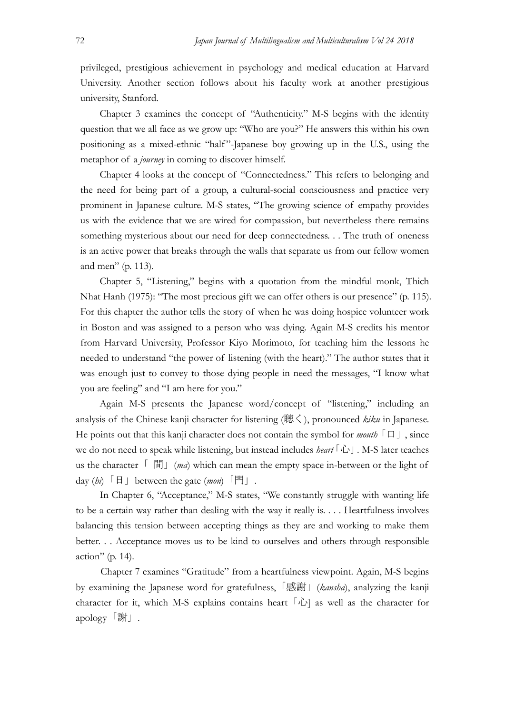privileged, prestigious achievement in psychology and medical education at Harvard University. Another section follows about his faculty work at another prestigious university, Stanford.

Chapter 3 examines the concept of "Authenticity." M-S begins with the identity question that we all face as we grow up: "Who are you?" He answers this within his own positioning as a mixed-ethnic "half "-Japanese boy growing up in the U.S., using the metaphor of a *journey* in coming to discover himself.

Chapter 4 looks at the concept of "Connectedness*.*" This refers to belonging and the need for being part of a group, a cultural-social consciousness and practice very prominent in Japanese culture. M-S states, "The growing science of empathy provides us with the evidence that we are wired for compassion, but nevertheless there remains something mysterious about our need for deep connectedness. . . The truth of oneness is an active power that breaks through the walls that separate us from our fellow women and men" (p. 113).

Chapter 5, "Listening," begins with a quotation from the mindful monk, Thich Nhat Hanh (1975): "The most precious gift we can offer others is our presence" (p. 115). For this chapter the author tells the story of when he was doing hospice volunteer work in Boston and was assigned to a person who was dying. Again M-S credits his mentor from Harvard University, Professor Kiyo Morimoto, for teaching him the lessons he needed to understand "the power of listening (with the heart)." The author states that it was enough just to convey to those dying people in need the messages, "I know what you are feeling" and "I am here for you."

Again M-S presents the Japanese word/concept of "listening," including an analysis of the Chinese kanji character for listening (聴く), pronounced *kiku* in Japanese. He points out that this kanji character does not contain the symbol for *mouth*  $\lceil \Box \rceil$ , since we do not need to speak while listening, but instead includes *heart*「心」. M-S later teaches us the character 「 間」(*ma*) which can mean the empty space in-between or the light of day (*hi*)「日」between the gate (*mon*)「門」.

In Chapter 6, "Acceptance," M-S states, "We constantly struggle with wanting life to be a certain way rather than dealing with the way it really is. . . . Heartfulness involves balancing this tension between accepting things as they are and working to make them better. . . Acceptance moves us to be kind to ourselves and others through responsible action" (p. 14).

Chapter 7 examines "Gratitude" from a heartfulness viewpoint. Again, M-S begins by examining the Japanese word for gratefulness,「感謝」(*kansha*), analyzing the kanji character for it, which M-S explains contains heart  $\lceil \hat{L} \rceil$  as well as the character for apology「謝」.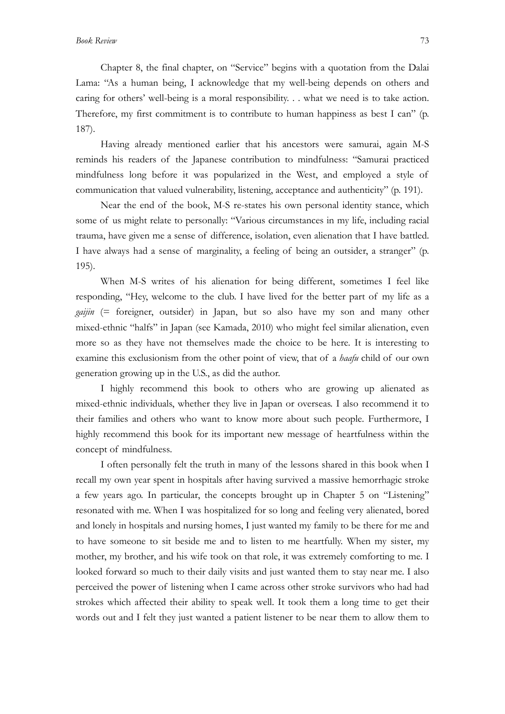Chapter 8, the final chapter, on "Service" begins with a quotation from the Dalai Lama: "As a human being, I acknowledge that my well-being depends on others and caring for others' well-being is a moral responsibility. . . what we need is to take action. Therefore, my first commitment is to contribute to human happiness as best I can" (p. 187).

Having already mentioned earlier that his ancestors were samurai, again M-S reminds his readers of the Japanese contribution to mindfulness: "Samurai practiced mindfulness long before it was popularized in the West, and employed a style of communication that valued vulnerability, listening, acceptance and authenticity" (p. 191).

Near the end of the book, M-S re-states his own personal identity stance, which some of us might relate to personally: "Various circumstances in my life, including racial trauma, have given me a sense of difference, isolation, even alienation that I have battled. I have always had a sense of marginality, a feeling of being an outsider, a stranger" (p. 195).

When M-S writes of his alienation for being different, sometimes I feel like responding, "Hey, welcome to the club. I have lived for the better part of my life as a *gaijin* (= foreigner, outsider) in Japan, but so also have my son and many other mixed-ethnic "halfs" in Japan (see Kamada, 2010) who might feel similar alienation, even more so as they have not themselves made the choice to be here. It is interesting to examine this exclusionism from the other point of view, that of a *haafu* child of our own generation growing up in the U.S., as did the author.

I highly recommend this book to others who are growing up alienated as mixed-ethnic individuals, whether they live in Japan or overseas. I also recommend it to their families and others who want to know more about such people. Furthermore, I highly recommend this book for its important new message of heartfulness within the concept of mindfulness*.*

I often personally felt the truth in many of the lessons shared in this book when I recall my own year spent in hospitals after having survived a massive hemorrhagic stroke a few years ago. In particular, the concepts brought up in Chapter 5 on "Listening" resonated with me. When I was hospitalized for so long and feeling very alienated, bored and lonely in hospitals and nursing homes, I just wanted my family to be there for me and to have someone to sit beside me and to listen to me heartfully. When my sister, my mother, my brother, and his wife took on that role, it was extremely comforting to me. I looked forward so much to their daily visits and just wanted them to stay near me. I also perceived the power of listening when I came across other stroke survivors who had had strokes which affected their ability to speak well. It took them a long time to get their words out and I felt they just wanted a patient listener to be near them to allow them to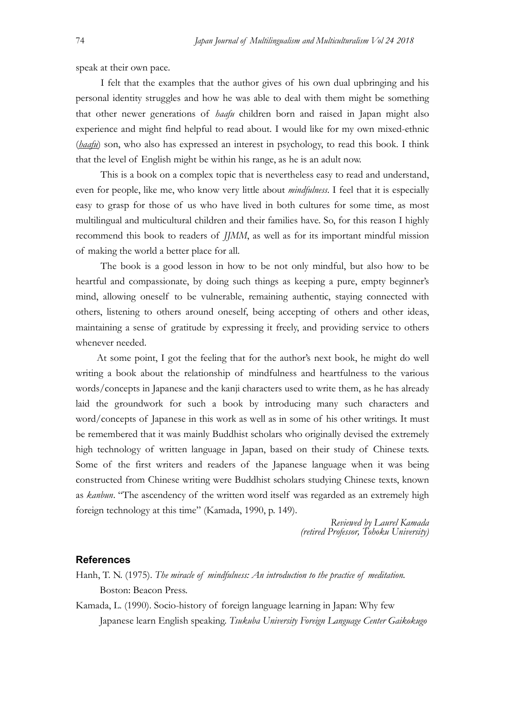speak at their own pace.

I felt that the examples that the author gives of his own dual upbringing and his personal identity struggles and how he was able to deal with them might be something that other newer generations of *haafu* children born and raised in Japan might also experience and might find helpful to read about. I would like for my own mixed-ethnic (*haafu*) son, who also has expressed an interest in psychology, to read this book. I think that the level of English might be within his range, as he is an adult now.

This is a book on a complex topic that is nevertheless easy to read and understand, even for people, like me, who know very little about *mindfulness*. I feel that it is especially easy to grasp for those of us who have lived in both cultures for some time, as most multilingual and multicultural children and their families have. So, for this reason I highly recommend this book to readers of *JJMM*, as well as for its important mindful mission of making the world a better place for all.

The book is a good lesson in how to be not only mindful, but also how to be heartful and compassionate, by doing such things as keeping a pure, empty beginner's mind, allowing oneself to be vulnerable, remaining authentic, staying connected with others, listening to others around oneself, being accepting of others and other ideas, maintaining a sense of gratitude by expressing it freely, and providing service to others whenever needed.

At some point, I got the feeling that for the author's next book, he might do well writing a book about the relationship of mindfulness and heartfulness to the various words/concepts in Japanese and the kanji characters used to write them, as he has already laid the groundwork for such a book by introducing many such characters and word/concepts of Japanese in this work as well as in some of his other writings. It must be remembered that it was mainly Buddhist scholars who originally devised the extremely high technology of written language in Japan, based on their study of Chinese texts. Some of the first writers and readers of the Japanese language when it was being constructed from Chinese writing were Buddhist scholars studying Chinese texts, known as *kanbun*. "The ascendency of the written word itself was regarded as an extremely high foreign technology at this time" (Kamada, 1990, p. 149).

> *Reviewed by Laurel Kamada (retired Professor, Tohoku University)*

## **References**

Hanh, T. N. (1975). *The miracle of mindfulness: An introduction to the practice of meditation.*  Boston: Beacon Press.

Kamada, L. (1990). Socio-history of foreign language learning in Japan: Why few Japanese learn English speaking. *Tsukuba University Foreign Language Center Gaikokugo*